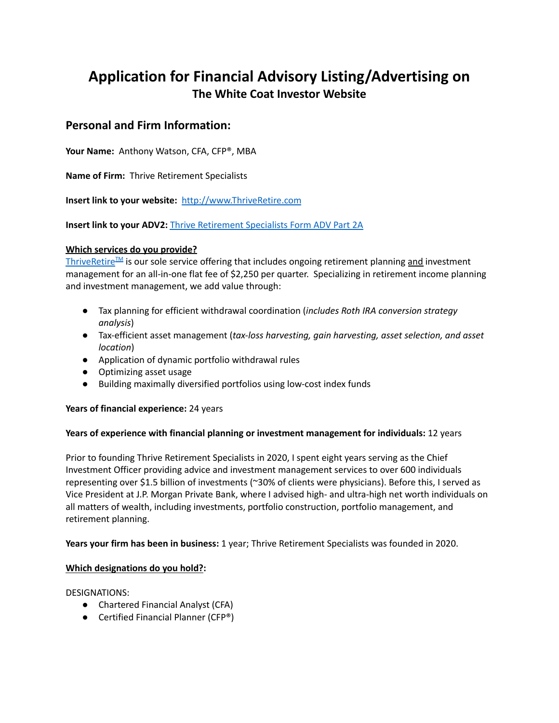# **Application for Financial Advisory Listing/Advertising on The White Coat Investor Website**

# **Personal and Firm Information:**

**Your Name:** Anthony Watson, CFA, CFP®, MBA

**Name of Firm:** Thrive Retirement Specialists

**Insert link to your website:** [http://www.ThriveRetire.com](http://www.thriveretire.com)

**Insert link to your ADV2:** [Thrive Retirement Specialists Form ADV Part 2A](https://files.adviserinfo.sec.gov/IAPD/Content/Common/crd_iapd_Brochure.aspx?BRCHR_VRSN_ID=659576)

# **Which services do you provide?**

[ThriveRetire](https://thriveretire.com/thrive-retire-planning) $I^M$  is our sole service offering that includes ongoing retirement planning and investment management for an all-in-one flat fee of \$2,250 per quarter. Specializing in retirement income planning and investment management, we add value through:

- Tax planning for efficient withdrawal coordination (*includes Roth IRA conversion strategy analysis*)
- Tax-efficient asset management (*tax-loss harvesting, gain harvesting, asset selection, and asset location*)
- Application of dynamic portfolio withdrawal rules
- Optimizing asset usage
- Building maximally diversified portfolios using low-cost index funds

## **Years of financial experience:** 24 years

## **Years of experience with financial planning or investment management for individuals:** 12 years

Prior to founding Thrive Retirement Specialists in 2020, I spent eight years serving as the Chief Investment Officer providing advice and investment management services to over 600 individuals representing over \$1.5 billion of investments (~30% of clients were physicians). Before this, I served as Vice President at J.P. Morgan Private Bank, where I advised high- and ultra-high net worth individuals on all matters of wealth, including investments, portfolio construction, portfolio management, and retirement planning.

## **Years your firm has been in business:** 1 year; Thrive Retirement Specialists was founded in 2020.

## **Which designations do you hold?:**

DESIGNATIONS:

- Chartered Financial Analyst (CFA)
- Certified Financial Planner (CFP<sup>®</sup>)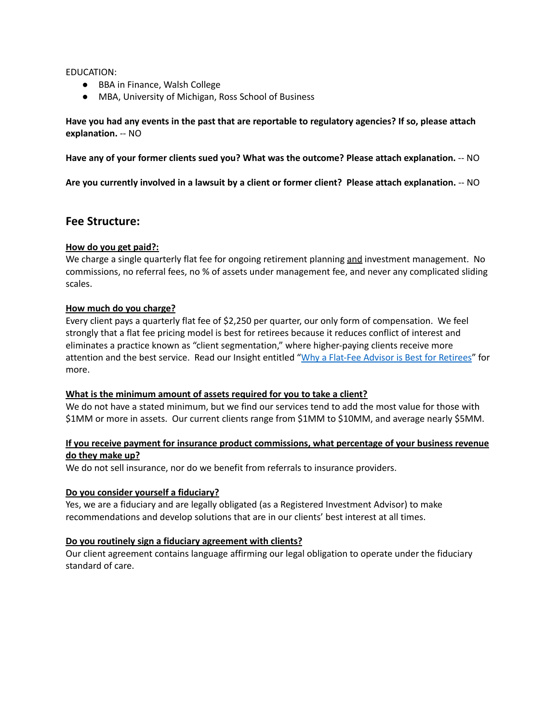#### EDUCATION:

- BBA in Finance, Walsh College
- MBA, University of Michigan, Ross School of Business

**Have you had any events in the past that are reportable to regulatory agencies? If so, please attach explanation.** -- NO

**Have any of your former clients sued you? What was the outcome? Please attach explanation.** -- NO

**Are you currently involved in a lawsuit by a client or former client? Please attach explanation.** -- NO

# **Fee Structure:**

## **How do you get paid?:**

We charge a single quarterly flat fee for ongoing retirement planning and investment management. No commissions, no referral fees, no % of assets under management fee, and never any complicated sliding scales.

#### **How much do you charge?**

Every client pays a quarterly flat fee of \$2,250 per quarter, our only form of compensation. We feel strongly that a flat fee pricing model is best for retirees because it reduces conflict of interest and eliminates a practice known as "client segmentation," where higher-paying clients receive more attention and the best service. Read our Insight entitled "[Why a Flat-Fee Advisor is Best for Retirees"](https://thriveretire.com/knowledge-center/why-a-flat-fee-advisor-is-best-for-retirees) for more.

#### **What is the minimum amount of assets required for you to take a client?**

We do not have a stated minimum, but we find our services tend to add the most value for those with \$1MM or more in assets. Our current clients range from \$1MM to \$10MM, and average nearly \$5MM.

## **If you receive payment for insurance product commissions, what percentage of your business revenue do they make up?**

We do not sell insurance, nor do we benefit from referrals to insurance providers.

## **Do you consider yourself a fiduciary?**

Yes, we are a fiduciary and are legally obligated (as a Registered Investment Advisor) to make recommendations and develop solutions that are in our clients' best interest at all times.

#### **Do you routinely sign a fiduciary agreement with clients?**

Our client agreement contains language affirming our legal obligation to operate under the fiduciary standard of care.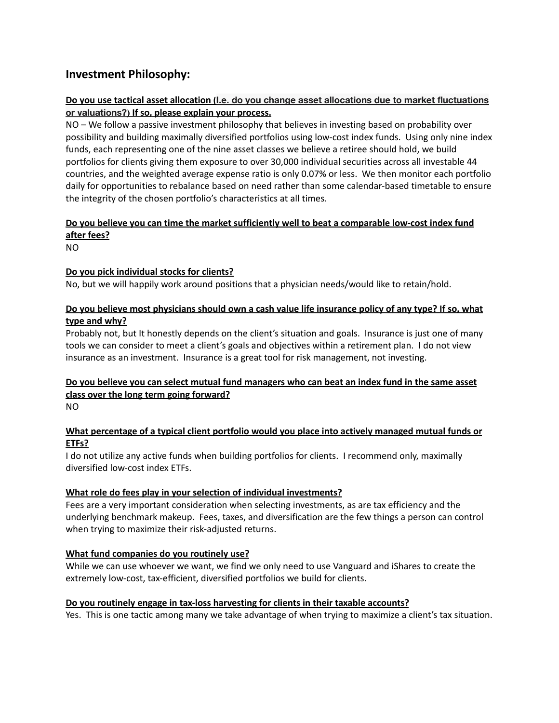# **Investment Philosophy:**

# **Do you use tactical asset allocation (I.e. do you change asset allocations due to market fluctuations or valuations?) If so, please explain your process.**

NO – We follow a passive investment philosophy that believes in investing based on probability over possibility and building maximally diversified portfolios using low-cost index funds. Using only nine index funds, each representing one of the nine asset classes we believe a retiree should hold, we build portfolios for clients giving them exposure to over 30,000 individual securities across all investable 44 countries, and the weighted average expense ratio is only 0.07% or less. We then monitor each portfolio daily for opportunities to rebalance based on need rather than some calendar-based timetable to ensure the integrity of the chosen portfolio's characteristics at all times.

# **Do you believe you can time the market sufficiently well to beat a comparable low-cost index fund after fees?**

NO

# **Do you pick individual stocks for clients?**

No, but we will happily work around positions that a physician needs/would like to retain/hold.

# **Do you believe most physicians should own a cash value life insurance policy of any type? If so, what type and why?**

Probably not, but It honestly depends on the client's situation and goals. Insurance is just one of many tools we can consider to meet a client's goals and objectives within a retirement plan. I do not view insurance as an investment. Insurance is a great tool for risk management, not investing.

# **Do you believe you can select mutual fund managers who can beat an index fund in the same asset class over the long term going forward?**

NO

# **What percentage of a typical client portfolio would you place into actively managed mutual funds or ETFs?**

I do not utilize any active funds when building portfolios for clients. I recommend only, maximally diversified low-cost index ETFs.

# **What role do fees play in your selection of individual investments?**

Fees are a very important consideration when selecting investments, as are tax efficiency and the underlying benchmark makeup. Fees, taxes, and diversification are the few things a person can control when trying to maximize their risk-adjusted returns.

# **What fund companies do you routinely use?**

While we can use whoever we want, we find we only need to use Vanguard and iShares to create the extremely low-cost, tax-efficient, diversified portfolios we build for clients.

# **Do you routinely engage in tax-loss harvesting for clients in their taxable accounts?**

Yes. This is one tactic among many we take advantage of when trying to maximize a client's tax situation.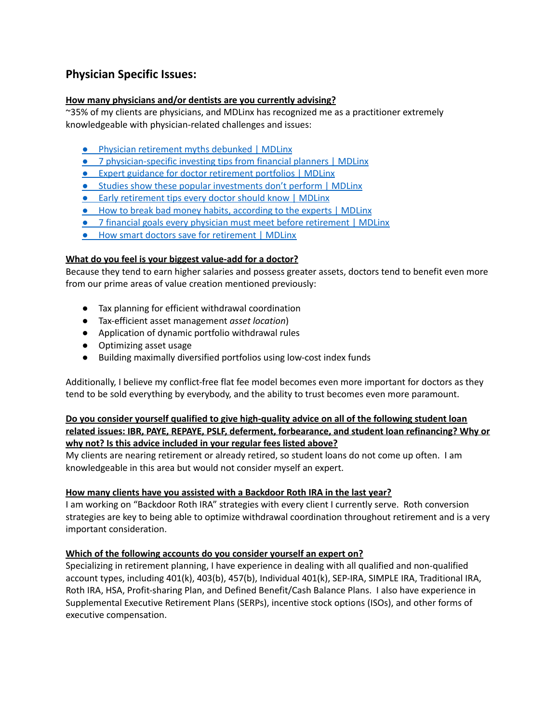# **Physician Specific Issues:**

# **How many physicians and/or dentists are you currently advising?**

~35% of my clients are physicians, and MDLinx has recognized me as a practitioner extremely knowledgeable with physician-related challenges and issues:

- [Physician retirement myths debunked | MDLinx](https://www.mdlinx.com/article/-physician-retirement-myths-debunked/7yJWMp8RWjEGlK3R5vjWms)
- [7 physician-specific investing tips from financial planners | MDLinx](https://www.mdlinx.com/article/7-physician-specific-investing-tips-from-financial-planners/anYS21bh8cT7jyIPd41PU)
- [Expert guidance for doctor retirement portfolios | MDLinx](https://www.mdlinx.com/article/expert-guidance-for-doctor-retirement-portfolios/3uLDuR5k1o61vSuFYr7Ezj)
- [Studies show these popular investments don't perform | MDLinx](https://www.mdlinx.com/article/studies-show-these-popular-investments-don-t-perform/3fdDbzCCatPi8gzM9t2gDf)
- Early retirement tips every doctor should know | MDLinx
- How to break bad money habits, according to the experts | MDLinx
- 7 financial goals every physician must meet before retirement | MDLinx
- How smart doctors save for retirement | MDLinx

## **What do you feel is your biggest value-add for a doctor?**

Because they tend to earn higher salaries and possess greater assets, doctors tend to benefit even more from our prime areas of value creation mentioned previously:

- Tax planning for efficient withdrawal coordination
- Tax-efficient asset management *asset location*)
- Application of dynamic portfolio withdrawal rules
- Optimizing asset usage
- Building maximally diversified portfolios using low-cost index funds

Additionally, I believe my conflict-free flat fee model becomes even more important for doctors as they tend to be sold everything by everybody, and the ability to trust becomes even more paramount.

# **Do you consider yourself qualified to give high-quality advice on all of the following student loan related issues: IBR, PAYE, REPAYE, PSLF, deferment, forbearance, and student loan refinancing? Why or why not? Is this advice included in your regular fees listed above?**

My clients are nearing retirement or already retired, so student loans do not come up often. I am knowledgeable in this area but would not consider myself an expert.

## **How many clients have you assisted with a Backdoor Roth IRA in the last year?**

I am working on "Backdoor Roth IRA" strategies with every client I currently serve. Roth conversion strategies are key to being able to optimize withdrawal coordination throughout retirement and is a very important consideration.

## **Which of the following accounts do you consider yourself an expert on?**

Specializing in retirement planning, I have experience in dealing with all qualified and non-qualified account types, including 401(k), 403(b), 457(b), Individual 401(k), SEP-IRA, SIMPLE IRA, Traditional IRA, Roth IRA, HSA, Profit-sharing Plan, and Defined Benefit/Cash Balance Plans. I also have experience in Supplemental Executive Retirement Plans (SERPs), incentive stock options (ISOs), and other forms of executive compensation.